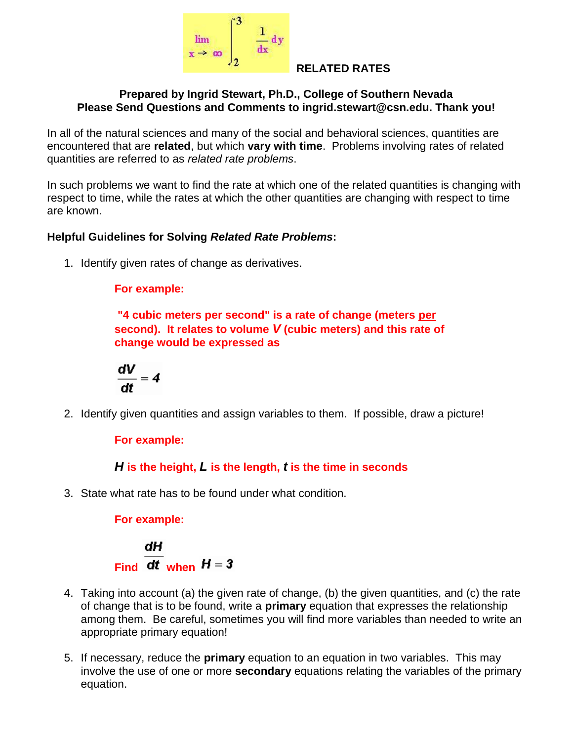

### **RELATED RATES**

### **Prepared by Ingrid Stewart, Ph.D., College of Southern Nevada Please Send Questions and Comments to ingrid.stewart@csn.edu. Thank you!**

In all of the natural sciences and many of the social and behavioral sciences, quantities are encountered that are **related**, but which **vary with time**. Problems involving rates of related quantities are referred to as *related rate problems*.

In such problems we want to find the rate at which one of the related quantities is changing with respect to time, while the rates at which the other quantities are changing with respect to time are known.

### **Helpful Guidelines for Solving** *Related Rate Problems***:**

1. Identify given rates of change as derivatives.

### **For example:**

**"4 cubic meters per second" is a rate of change (meters per second). It relates to volume** *V* **(cubic meters) and this rate of change would be expressed as** 

$$
\frac{dV}{dt}=4
$$

2. Identify given quantities and assign variables to them. If possible, draw a picture!

## **For example:**

*H* **is the height,** *L* **is the length,** *t* **is the time in seconds** 

3. State what rate has to be found under what condition.

**For example:** 

 $\frac{dH}{dt}$ <br>Find  $\frac{dH}{dt}$  when  $H = 3$ 

- 4. Taking into account (a) the given rate of change, (b) the given quantities, and (c) the rate of change that is to be found, write a **primary** equation that expresses the relationship among them. Be careful, sometimes you will find more variables than needed to write an appropriate primary equation!
- 5. If necessary, reduce the **primary** equation to an equation in two variables. This may involve the use of one or more **secondary** equations relating the variables of the primary equation.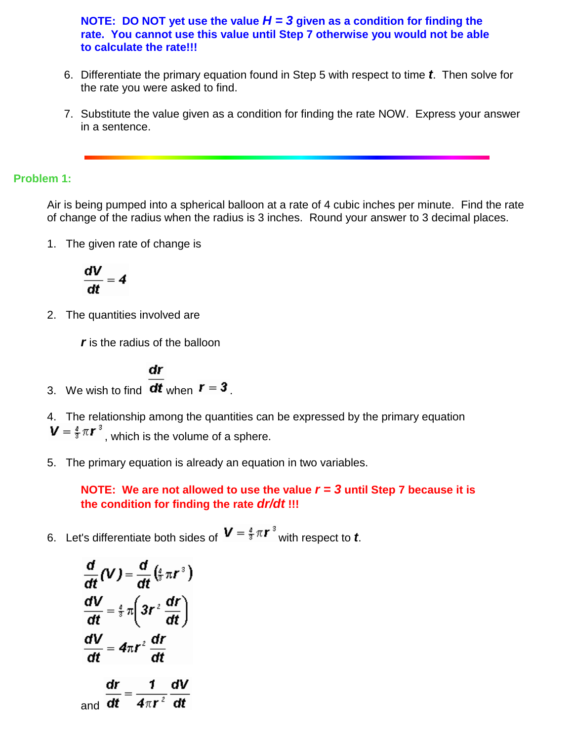**NOTE:** DO NOT yet use the value  $H = 3$  given as a condition for finding the **rate. You cannot use this value until Step 7 otherwise you would not be able to calculate the rate!!!**

- 6. Differentiate the primary equation found in Step 5 with respect to time *t*. Then solve for the rate you were asked to find.
- 7. Substitute the value given as a condition for finding the rate NOW. Express your answer in a sentence.

### **Problem 1:**

Air is being pumped into a spherical balloon at a rate of 4 cubic inches per minute. Find the rate of change of the radius when the radius is 3 inches. Round your answer to 3 decimal places.

1. The given rate of change is

$$
\frac{dV}{dt}=4
$$

2. The quantities involved are

*r* is the radius of the balloon

$$
\mathsf{d} r
$$

3. We wish to find  $dt$  when  $r = 3$ .

4. The relationship among the quantities can be expressed by the primary equation  $\boldsymbol{V} = \frac{4}{3}\pi \boldsymbol{r}^3$ , which is the volume of a sphere.

5. The primary equation is already an equation in two variables.

**NOTE: We are not allowed to use the value** *r = 3* **until Step 7 because it is the condition for finding the rate** *dr/dt* **!!!**

6. Let's differentiate both sides of  $V = \frac{4}{3} \pi r^3$  with respect to *t*.

$$
\frac{d}{dt}(V) = \frac{d}{dt}(\frac{4}{3}\pi r^3)
$$
\n
$$
\frac{dV}{dt} = \frac{4}{3}\pi \left(3r^2 \frac{dr}{dt}\right)
$$
\n
$$
\frac{dV}{dt} = 4\pi r^2 \frac{dr}{dt}
$$
\nand\n
$$
\frac{dr}{dt} = \frac{1}{4\pi r^2} \frac{dV}{dt}
$$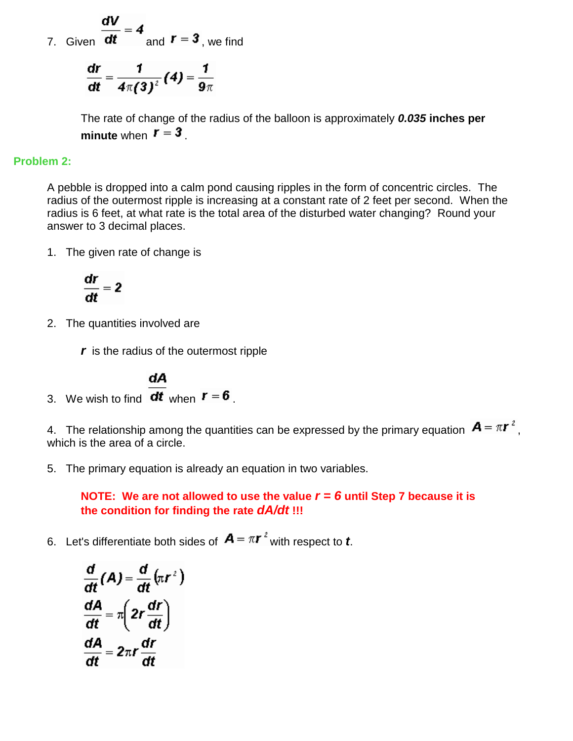7. Given 
$$
\frac{dV}{dt} = 4
$$
 and  $r = 3$ , we find

$$
\frac{\mathrm{d}r}{\mathrm{d}t} = \frac{1}{4\pi(3)^2}(4) = \frac{1}{9\pi}
$$

The rate of change of the radius of the balloon is approximately *0.035* **inches per minute** when  $\boldsymbol{r} = 3$ .

### **Problem 2:**

A pebble is dropped into a calm pond causing ripples in the form of concentric circles. The radius of the outermost ripple is increasing at a constant rate of 2 feet per second. When the radius is 6 feet, at what rate is the total area of the disturbed water changing? Round your answer to 3 decimal places.

1. The given rate of change is

$$
\frac{dr}{dt}=2
$$

2. The quantities involved are

*r* is the radius of the outermost ripple

3. We wish to find 
$$
\frac{dA}{dt}
$$
 when  $r = 6$ .

4. The relationship among the quantities can be expressed by the primary equation  $\mathbf{A} = \pi \mathbf{r}^2$ , which is the area of a circle.

5. The primary equation is already an equation in two variables.

**NOTE: We are not allowed to use the value** *r = 6* **until Step 7 because it is the condition for finding the rate** *dA/dt* **!!!**

6. Let's differentiate both sides of  $\mathbf{A} = \pi \mathbf{r}^2$  with respect to **t**.

$$
\frac{d}{dt}(A) = \frac{d}{dt}(\pi r^2)
$$
\n
$$
\frac{dA}{dt} = \pi \left( 2r \frac{dr}{dt} \right)
$$
\n
$$
\frac{dA}{dt} = 2\pi r \frac{dr}{dt}
$$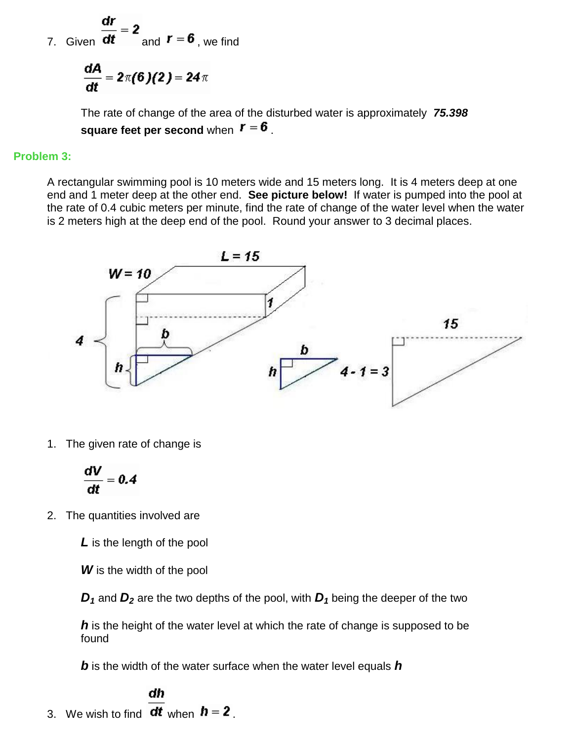7. Given  $\overline{dt} = z$  and  $\overline{r} = 6$ , we find

$$
\frac{dA}{dt} = 2\pi(6)(2) = 24\pi
$$

The rate of change of the area of the disturbed water is approximately *75.398* **square feet per second** when  $\mathbf{r} = \mathbf{6}$ .

#### **Problem 3:**

A rectangular swimming pool is 10 meters wide and 15 meters long. It is 4 meters deep at one end and 1 meter deep at the other end. **See picture below!** If water is pumped into the pool at the rate of 0.4 cubic meters per minute, find the rate of change of the water level when the water is 2 meters high at the deep end of the pool. Round your answer to 3 decimal places.



1. The given rate of change is

$$
\frac{dV}{dt}=0.4
$$

2. The quantities involved are

*L* is the length of the pool

*W* is the width of the pool

*D*<sub>1</sub> and *D*<sub>2</sub> are the two depths of the pool, with *D*<sub>1</sub> being the deeper of the two

*h* is the height of the water level at which the rate of change is supposed to be found

*b* is the width of the water surface when the water level equals *h*

#### dh

3. We wish to find  $dt$  when  $h = 2$ .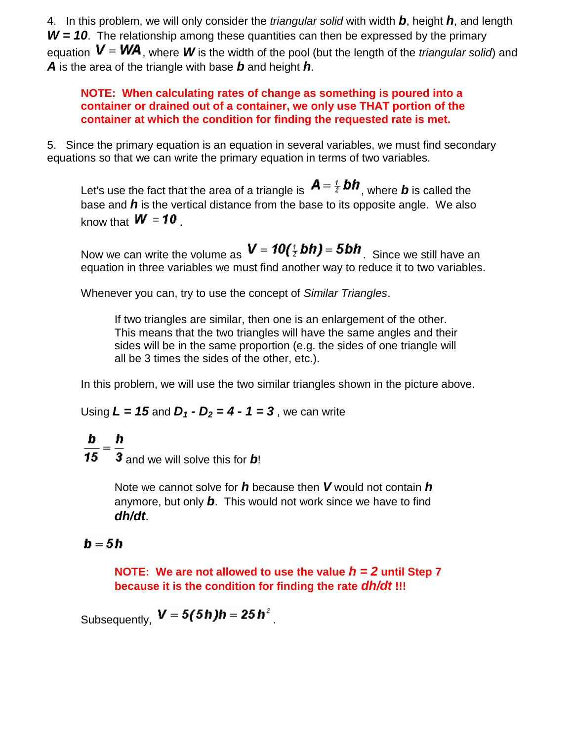4. In this problem, we will only consider the *triangular solid* with width *b*, height *h*, and length *W = 10*. The relationship among these quantities can then be expressed by the primary equation  $V = WA$ , where *W* is the width of the pool (but the length of the *triangular solid*) and *A* is the area of the triangle with base *b* and height *h*.

**NOTE: When calculating rates of change as something is poured into a container or drained out of a container, we only use THAT portion of the container at which the condition for finding the requested rate is met.** 

5. Since the primary equation is an equation in several variables, we must find secondary equations so that we can write the primary equation in terms of two variables.

Let's use the fact that the area of a triangle is  $A = \frac{i}{2}bh$ , where **b** is called the base and *h* is the vertical distance from the base to its opposite angle. We also know that  $W = 10$ .

Now we can write the volume as  $V = 10(^7$  bh) = 5bh. Since we still have an equation in three variables we must find another way to reduce it to two variables.

Whenever you can, try to use the concept of *Similar Triangles*.

If two triangles are similar, then one is an enlargement of the other. This means that the two triangles will have the same angles and their sides will be in the same proportion (e.g. the sides of one triangle will all be 3 times the sides of the other, etc.).

In this problem, we will use the two similar triangles shown in the picture above.

Using  $L = 15$  and  $D_1 \cdot D_2 = 4 \cdot 1 = 3$ , we can write

 $\frac{\mathbf{b}}{\mathbf{15}} = \frac{\mathbf{h}}{3}$  and we will solve this for **b**!

Note we cannot solve for *h* because then *V* would not contain *h* anymore, but only *b*. This would not work since we have to find *dh/dt*.

# b = 5 h

**NOTE: We are not allowed to use the value** *h = 2* **until Step 7 because it is the condition for finding the rate** *dh/dt* **!!!**

Subsequently,  $V = 5(5h)h = 25h^2$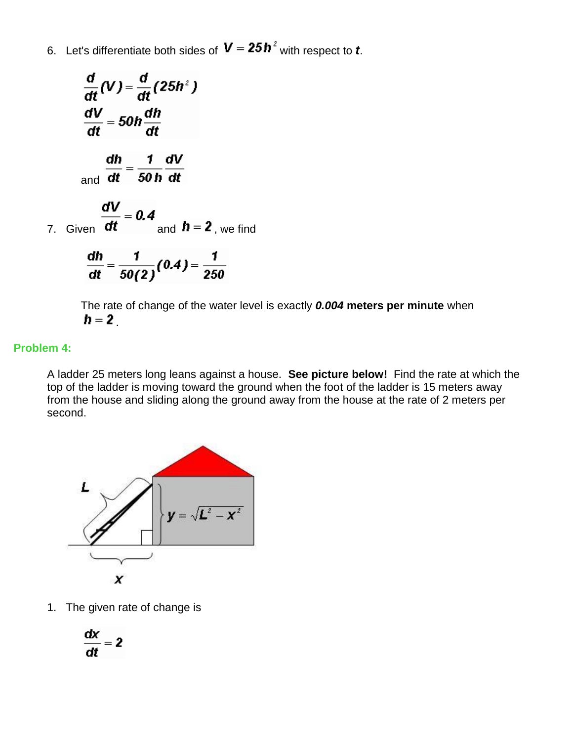6. Let's differentiate both sides of  $V = 25 h^2$  with respect to *t*.

$$
\frac{d}{dt}(V) = \frac{d}{dt}(25h^2)
$$
  

$$
\frac{dV}{dt} = 50h\frac{dh}{dt}
$$
  
and 
$$
\frac{dh}{dt} = \frac{1}{50h}\frac{dV}{dt}
$$
  
7. Given 
$$
\frac{dV}{dt} = 0.4
$$
and 
$$
h = 2
$$
, we find  

$$
\frac{dh}{dt} = \frac{1}{50(2)}(0.4) = \frac{1}{250}
$$

The rate of change of the water level is exactly *0.004* **meters per minute** when  $h = 2$ .

### **Problem 4:**

A ladder 25 meters long leans against a house. **See picture below!** Find the rate at which the top of the ladder is moving toward the ground when the foot of the ladder is 15 meters away from the house and sliding along the ground away from the house at the rate of 2 meters per second.



1. The given rate of change is

$$
\frac{dx}{dt}=2
$$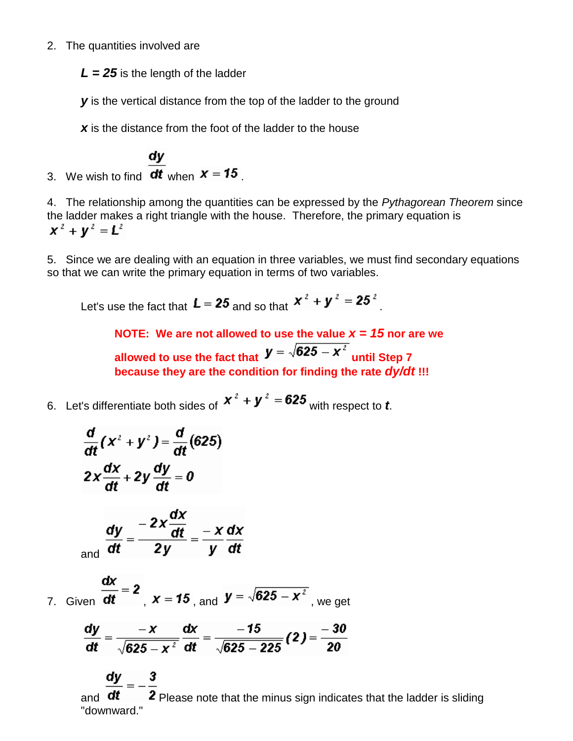### 2. The quantities involved are

 $L = 25$  is the length of the ladder

**y** is the vertical distance from the top of the ladder to the ground

*x* is the distance from the foot of the ladder to the house

3. We wish to find  $\frac{dy}{dt}$  when  $x = 15$ .

4. The relationship among the quantities can be expressed by the *Pythagorean Theorem* since the ladder makes a right triangle with the house. Therefore, the primary equation is  $x^2 + y^2 = L^2$ 

5. Since we are dealing with an equation in three variables, we must find secondary equations so that we can write the primary equation in terms of two variables.

Let's use the fact that  $L = 25$  and so that  $x^2 + y^2 = 25^2$ 

**NOTE:** We are not allowed to use the value  $x = 15$  nor are we **allowed to use the fact that**  $\mathbf{y} = \sqrt{625 - x^2}$  **until Step 7 because they are the condition for finding the rate** *dy/dt* **!!!**

6. Let's differentiate both sides of  $x^2 + y^2 = 625$  with respect to *t*.

$$
\frac{d}{dt}(x^2 + y^2) = \frac{d}{dt}(625)
$$

$$
2x\frac{dx}{dt} + 2y\frac{dy}{dt} = 0
$$

$$
\frac{dy}{dt} = \frac{-2x\frac{dx}{dt}}{2y} = \frac{-x}{y}\frac{dx}{dt}
$$

7. Given 
$$
\frac{dx}{dt} = 2
$$
,  $x = 15$ , and  $y = \sqrt{625 - x^2}$ , we get

$$
\frac{dy}{dt} = \frac{-x}{\sqrt{625 - x^2}} \frac{dx}{dt} = \frac{-15}{\sqrt{625 - 225}} (2) = \frac{-30}{20}
$$

and  $dt$  2 Please note that the minus sign indicates that the ladder is sliding "downward."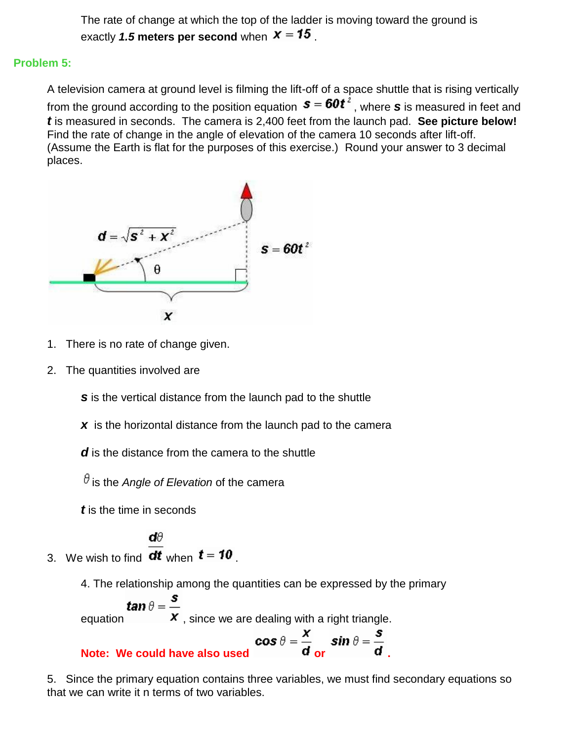The rate of change at which the top of the ladder is moving toward the ground is exactly 1.5 meters per second when  $x = 15$ .

### **Problem 5:**

A television camera at ground level is filming the lift-off of a space shuttle that is rising vertically from the ground according to the position equation  $s = 60t^2$ , where *s* is measured in feet and *t* is measured in seconds. The camera is 2,400 feet from the launch pad. **See picture below!** Find the rate of change in the angle of elevation of the camera 10 seconds after lift-off. (Assume the Earth is flat for the purposes of this exercise.) Round your answer to 3 decimal places.



- 1. There is no rate of change given.
- 2. The quantities involved are

**s** is the vertical distance from the launch pad to the shuttle

- **x** is the horizontal distance from the launch pad to the camera
- *d* is the distance from the camera to the shuttle

 $\theta$  is the *Angle of Elevation* of the camera

*t* is the time in seconds

dθ 3. We wish to find  $dt$  when  $t = 10$ .

4. The relationship among the quantities can be expressed by the primary

$$
tan \theta = \frac{s}{x}
$$
, since we are dealing with a right triangle.  
**Note:** We could have also used  

$$
\cos \theta = \frac{x}{d} \sin \theta = \frac{s}{d}
$$
.

5. Since the primary equation contains three variables, we must find secondary equations so that we can write it n terms of two variables.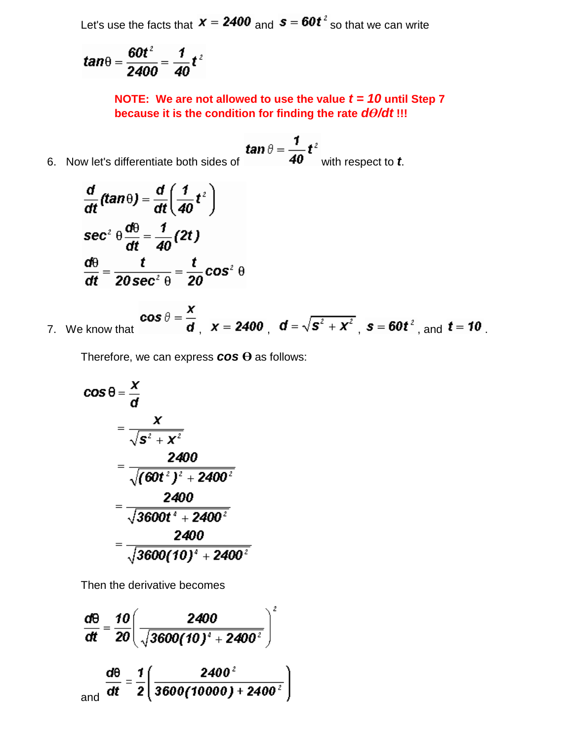Let's use the facts that  $x = 2400$  and  $s = 60t^2$  so that we can write

$$
tan\theta = \frac{60t^2}{2400} = \frac{1}{40}t^2
$$

**NOTE: We are not allowed to use the value** *t = 10* **until Step 7 because it is the condition for finding the rate** *dӨ/dt* **!!!**

6. Now let's differentiate both sides of **tan**  $\theta = \frac{1}{40} t^2$  with respect to **t**.

$$
\frac{d}{dt}(tan \theta) = \frac{d}{dt} \left(\frac{1}{40}t^2\right)
$$
\n
$$
sec^2 \theta \frac{d\theta}{dt} = \frac{1}{40}(2t)
$$
\n
$$
\frac{d\theta}{dt} = \frac{t}{20 sec^2 \theta} = \frac{t}{20} cos^2 \theta
$$

7. We know that  $\cos \theta = \frac{x}{d}$ ,  $x = 2400$ ,  $d = \sqrt{s^2 + x^2}$ ,  $s = 60t^2$ , and  $t = 10$ .

Therefore, we can express *cos* **Ө** as follows:

$$
\cos \theta = \frac{x}{d}
$$
\n
$$
= \frac{x}{\sqrt{s^2 + x^2}}
$$
\n
$$
= \frac{2400}{\sqrt{(60t^2)^2 + 2400^2}}
$$
\n
$$
= \frac{2400}{\sqrt{3600t^2 + 2400^2}}
$$
\n
$$
= \frac{2400}{\sqrt{3600(10)^2 + 2400^2}}
$$

Then the derivative becomes

$$
\frac{d\theta}{dt} = \frac{10}{20} \left( \frac{2400}{\sqrt{3600(10)^2 + 2400^2}} \right)^2
$$
  
and 
$$
\frac{d\theta}{dt} = \frac{1}{2} \left( \frac{2400^2}{3600(10000) + 2400^2} \right)
$$